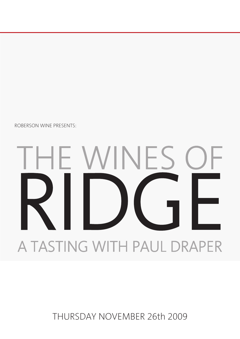THURSDAY NOVEMBER 26th 2009

# **E WINES** RIDGE A TASTING WITH PAUL DRAPER

ROBERSON WINE PRESENTS: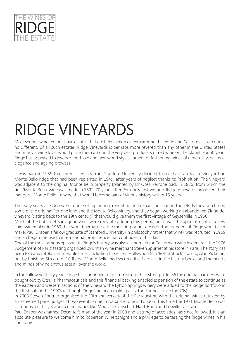

## RIDGE VINEYARDS

Most serious wine regions have estates that are held in high esteem around the world and California is, of course, no different. Of all such estates, Ridge Vineyards is perhaps more revered than any other in the United States and many a wine lover would place them among the very best producers of red wine on the planet. For 50 years Ridge has appealed to lovers of both old and new world styles, famed for fashioning wines of generosity, balance, elegance and ageing prowess.

It was back in 1959 that three scientists from Stanford University decided to purchase an 8 acre vineyard on Monte Bello ridge that had been replanted in 1949, after years of neglect thanks to Prohibition. The vineyard was adjacent to the original Monte Bello property (planted by Dr Osea Perrone back in 1886) from which the first 'Monte Bello' wine was made in 1892. 70 years after Perrone's first vintage, Ridge Vineyards produced their inaugural Monte Bello - a wine that would become part of vinous history within 15 years.

The early years at Ridge were a time of replanting, recruiting and expansion. During the 1960s they purchased some of the original Perrone land and the Monte Bello winery, and they began working an abandoned Zinfandel vineyard (dating back to the 19th century) that would give them the first vintage of Geyserville in 1966.

Much of the Cabernet Sauvignon vines were replanted during this period, but it was the appointment of a new chief winemaker in 1969 that would perhaps be the most important decision the founders of Ridge would ever make. Paul Draper, a fellow graduate of Stanford University (in philosophy rather that wine), was recruited in 1969 and so began the rise to international prominence that continues to this day.

One of the most famous episodes in Ridge's history was also a landmark for Californian wine in general - the 1976 'Judgement of Paris' tasting organised by British wine merchant Steven Spurrier at his store in Paris. The story has been told and retold innumerable times, including the recent Hollywood film 'Bottle Shock' starring Alan Rickman, but by finishing 5th out of 10 Ridge 'Monte Bello' had secured itself a place in the history books and the hearts and minds of wine enthusiasts all over the world.

In the following thirty years Ridge has continued to go from strength to strength. In '86 the original partners were bought out by Otsuka Pharmaceuticals and this financial backing enabled expansion of the estate to continue as the eastern and western sections of the vineyard the Lytton Springs winery were added to the Ridge portfolio in the first half of the 1990s (although Ridge had been making a 'Lytton Springs' since the 70s).

In 2006 Steven Spurrier organised the 30th anniversary of the Paris tasting with the original wines retasted by an esteemed panel judges at two events - one in Napa and one in London. This time the 1971 Monte Bello was victorious, beating Bordeaux luminaries like Mouton-Rothschild, Haut-Brion and Leoville Las Cases.

Paul Draper was named Decanter's man of the year in 2000 and a string of accolades has since followed. It is an absolute pleasure to welcome him to Roberson Wine tonight and a privilege to be tasting the Ridge wines in his company.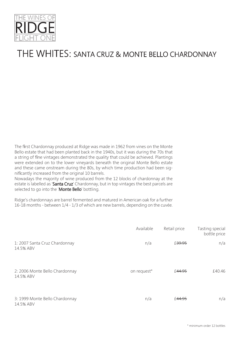

#### THE WHITES: SANTA CRUZ & MONTE BELLO CHARDONNAY

The first Chardonnay produced at Ridge was made in 1962 from vines on the Monte Bello estate that had been planted back in the 1940s, but it was during the 70s that a string of fine vintages demonstrated the quality that could be achieved. Plantings were extended on to the lower vineyards beneath the original Monte Bello estate and these came onstream during the 80s, by which time production had been significantly increased from the original 10 barrels.

Nowadays the majority of wine produced from the 12 blocks of chardonnay at the estate is labelled as 'Santa Cruz' Chardonnay, but in top vintages the best parcels are selected to go into the 'Monte Bello' bottling.

Ridge's chardonnays are barrel fermented and matured in American oak for a further 16-18 months - between 1/4 - 1/3 of which are new barrels, depending on the cuvée.

|                                             | Available   | Retail price | Tasting special<br>bottle price |
|---------------------------------------------|-------------|--------------|---------------------------------|
| 1: 2007 Santa Cruz Chardonnay<br>14.5% ABV  | n/a         | £39.95       | n/a                             |
| 2: 2006 Monte Bello Chardonnay<br>14.5% ABV | on request* | £44.95       | £40.46                          |
| 3: 1999 Monte Bello Chardonnay<br>14.5% ABV | n/a         | £44.95       | n/a                             |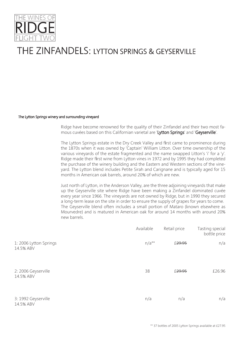

### THE ZINFANDELS: LYTTON SPRINGS & GEYSERVILLE

#### The Lytton Springs winery and surrounding vineyard

Ridge have become renowned for the quality of their Zinfandel and their two most famous cuvées based on this Californian varietal are 'Lytton Springs' and 'Geyserville'.

The Lytton Springs estate in the Dry Creek Valley and first came to prominence during the 1870s when it was owned by 'Captain' William Litton. Over time ownership of the various vineyards of the estate fragmented and the name swapped Litton's 'i' for a 'y'. Ridge made their first wine from Lytton vines in 1972 and by 1995 they had completed the purchase of the winery building and the Eastern and Western sections of the vineyard. The Lytton blend includes Petite Sirah and Carignane and is typically aged for 15 months in American oak barrels, around 20% of which are new.

Just north of Lytton, in the Anderson Valley, are the three adjoining vineyards that make up the Geyserville site where Ridge have been making a Zinfandel dominated cuvée every year since 1966. The vineyards are not owned by Ridge, but in 1990 they secured a long-term lease on the site in order to ensure the supply of grapes for years to come. The Geyserville blend often includes a small portion of Mataro (known elsewhere as Mourvedre) and is matured in American oak for around 14 months with around 20% new barrels.

|                                    | Available | Retail price       | Tasting special<br>bottle price |
|------------------------------------|-----------|--------------------|---------------------------------|
| 1:2006 Lytton Springs<br>14.5% ABV | $n/a**$   | £ <del>29.95</del> | n/a                             |
| 2: 2006 Geyserville<br>14.5% ABV   | 38        | £ <del>29.95</del> | £26.96                          |
| 3: 1992 Geyserville<br>14.5% ABV   | n/a       | n/a                | n/a                             |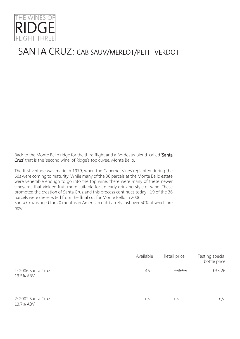

#### SANTA CRUZ: CAB SAUV/MERLOT/PETIT VERDOT

Back to the Monte Bello ridge for the third flight and a Bordeaux blend called 'Santa Cruz' that is the 'second wine' of Ridge's top cuvée, Monte Bello.

The first vintage was made in 1979, when the Cabernet vines replanted during the 60s were coming to maturity. While many of the 36 parcels at the Monte Bello estate were venerable enough to go into the top wine, there were many of these newer vineyards that yielded fruit more suitable for an early drinking style of wine. These prompted the creation of Santa Cruz and this process continues today - 19 of the 36 parcels were de-selected from the final cut for Monte Bello in 2006. Santa Cruz is aged for 20 months in American oak barrels, just over 50% of which are new.

|                                 | Available | Retail price | Tasting special<br>bottle price |
|---------------------------------|-----------|--------------|---------------------------------|
| 1: 2006 Santa Cruz<br>13.5% ABV | 46        | £36.95       | £33.26                          |
| 2: 2002 Santa Cruz<br>13.7% ABV | n/a       | n/a          | n/a                             |